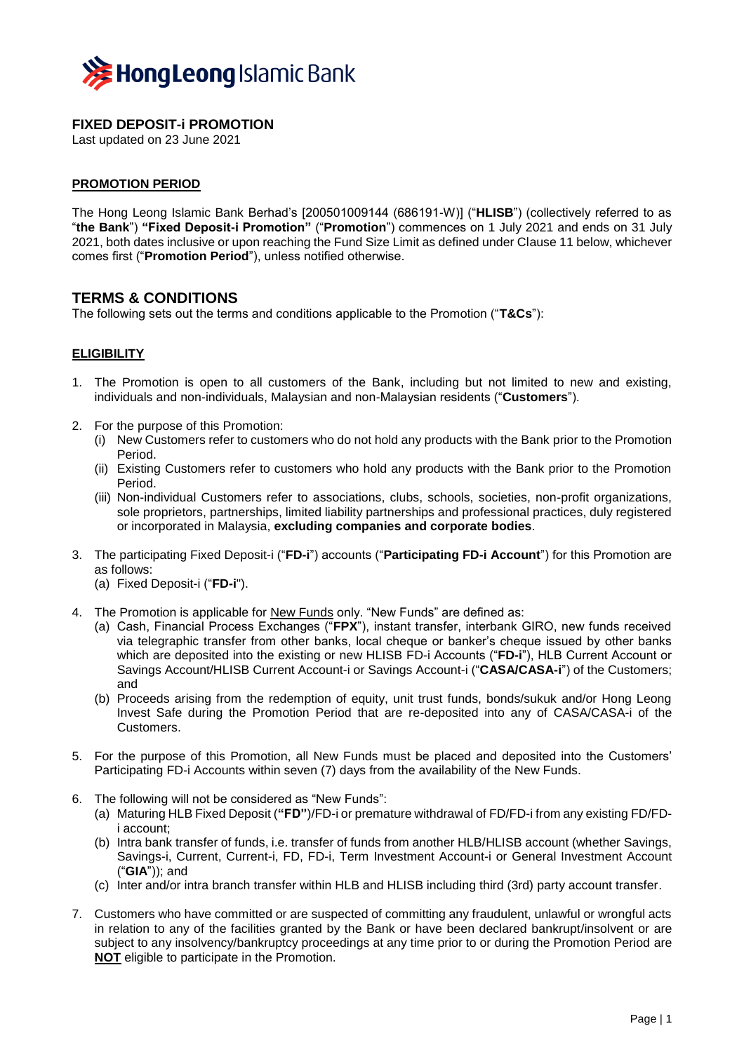

# **FIXED DEPOSIT-i PROMOTION**

Last updated on 23 June 2021

#### **PROMOTION PERIOD**

The Hong Leong Islamic Bank Berhad's [200501009144 (686191-W)] ("**HLISB**") (collectively referred to as "**the Bank**") **"Fixed Deposit-i Promotion"** ("**Promotion**") commences on 1 July 2021 and ends on 31 July 2021, both dates inclusive or upon reaching the Fund Size Limit as defined under Clause 11 below, whichever comes first ("**Promotion Period**"), unless notified otherwise.

## **TERMS & CONDITIONS**

The following sets out the terms and conditions applicable to the Promotion ("**T&Cs**"):

#### **ELIGIBILITY**

- 1. The Promotion is open to all customers of the Bank, including but not limited to new and existing, individuals and non-individuals, Malaysian and non-Malaysian residents ("**Customers**").
- 2. For the purpose of this Promotion:
	- (i) New Customers refer to customers who do not hold any products with the Bank prior to the Promotion Period.
	- (ii) Existing Customers refer to customers who hold any products with the Bank prior to the Promotion Period.
	- (iii) Non-individual Customers refer to associations, clubs, schools, societies, non-profit organizations, sole proprietors, partnerships, limited liability partnerships and professional practices, duly registered or incorporated in Malaysia, **excluding companies and corporate bodies**.
- 3. The participating Fixed Deposit-i ("**FD-i**") accounts ("**Participating FD-i Account**") for this Promotion are as follows:
	- (a) Fixed Deposit-i ("**FD-i**").
- 4. The Promotion is applicable for New Funds only. "New Funds" are defined as:
	- (a) Cash, Financial Process Exchanges ("**FPX**"), instant transfer, interbank GIRO, new funds received via telegraphic transfer from other banks, local cheque or banker's cheque issued by other banks which are deposited into the existing or new HLISB FD-i Accounts ("**FD-i**"), HLB Current Account or Savings Account/HLISB Current Account-i or Savings Account-i ("**CASA/CASA-i**") of the Customers; and
	- (b) Proceeds arising from the redemption of equity, unit trust funds, bonds/sukuk and/or Hong Leong Invest Safe during the Promotion Period that are re-deposited into any of CASA/CASA-i of the Customers.
- 5. For the purpose of this Promotion, all New Funds must be placed and deposited into the Customers' Participating FD-i Accounts within seven (7) days from the availability of the New Funds.
- 6. The following will not be considered as "New Funds":
	- (a) Maturing HLB Fixed Deposit (**"FD"**)/FD-i or premature withdrawal of FD/FD-i from any existing FD/FDi account;
	- (b) Intra bank transfer of funds, i.e. transfer of funds from another HLB/HLISB account (whether Savings, Savings-i, Current, Current-i, FD, FD-i, Term Investment Account-i or General Investment Account ("**GIA**")); and
	- (c) Inter and/or intra branch transfer within HLB and HLISB including third (3rd) party account transfer.
- 7. Customers who have committed or are suspected of committing any fraudulent, unlawful or wrongful acts in relation to any of the facilities granted by the Bank or have been declared bankrupt/insolvent or are subject to any insolvency/bankruptcy proceedings at any time prior to or during the Promotion Period are **NOT** eligible to participate in the Promotion.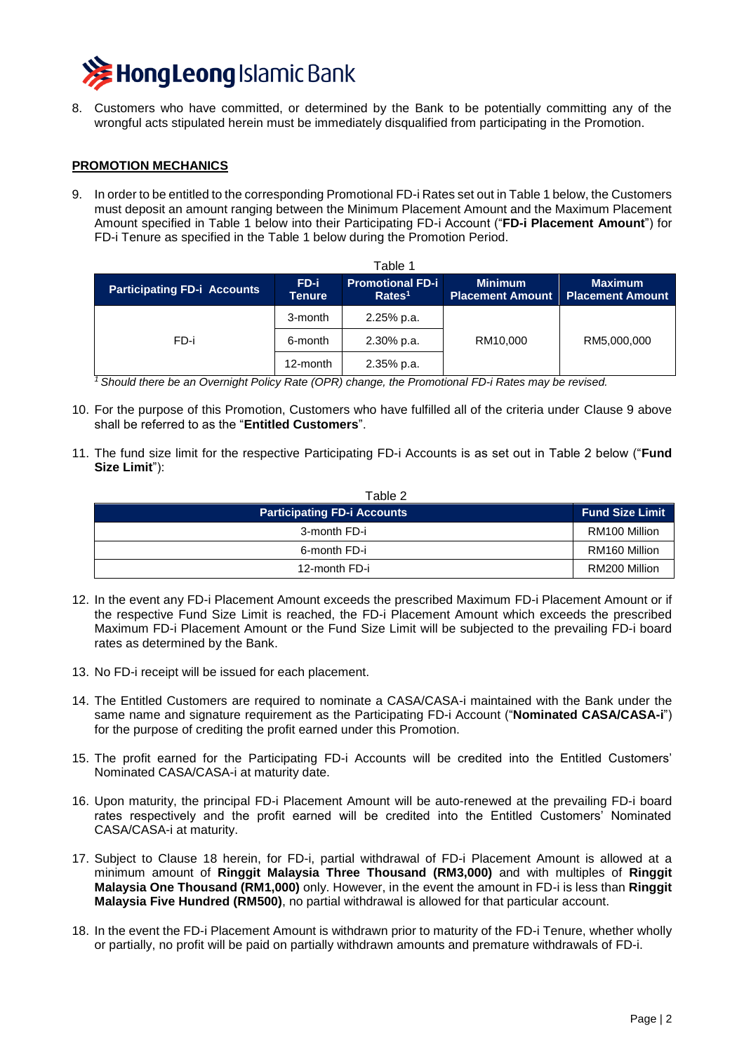

8. Customers who have committed, or determined by the Bank to be potentially committing any of the wrongful acts stipulated herein must be immediately disqualified from participating in the Promotion.

#### **PROMOTION MECHANICS**

9. In order to be entitled to the corresponding Promotional FD-i Rates set out in Table 1 below, the Customers must deposit an amount ranging between the Minimum Placement Amount and the Maximum Placement Amount specified in Table 1 below into their Participating FD-i Account ("**FD-i Placement Amount**") for FD-i Tenure as specified in the Table 1 below during the Promotion Period.

| Table 1                            |                       |                                               |                                           |                                           |  |
|------------------------------------|-----------------------|-----------------------------------------------|-------------------------------------------|-------------------------------------------|--|
| <b>Participating FD-i Accounts</b> | FD-i<br><b>Tenure</b> | <b>Promotional FD-i</b><br>Rates <sup>1</sup> | <b>Minimum</b><br><b>Placement Amount</b> | <b>Maximum</b><br><b>Placement Amount</b> |  |
| FD-i                               | 3-month               | 2.25% p.a.                                    |                                           |                                           |  |
|                                    | 6-month               | $2.30\%$ p.a.                                 | RM10,000                                  | RM5,000,000                               |  |
|                                    | 12-month              | 2.35% p.a.                                    |                                           |                                           |  |

*<sup>1</sup>Should there be an Overnight Policy Rate (OPR) change, the Promotional FD-i Rates may be revised.*

- 10. For the purpose of this Promotion, Customers who have fulfilled all of the criteria under Clause 9 above shall be referred to as the "**Entitled Customers**".
- 11. The fund size limit for the respective Participating FD-i Accounts is as set out in Table 2 below ("**Fund Size Limit**"):

| Table 2                            |                        |
|------------------------------------|------------------------|
| <b>Participating FD-i Accounts</b> | <b>Fund Size Limit</b> |
| 3-month FD-i                       | RM100 Million          |
| 6-month FD-i                       | RM160 Million          |
| 12-month FD-i                      | RM200 Million          |

- 12. In the event any FD-i Placement Amount exceeds the prescribed Maximum FD-i Placement Amount or if the respective Fund Size Limit is reached, the FD-i Placement Amount which exceeds the prescribed Maximum FD-i Placement Amount or the Fund Size Limit will be subjected to the prevailing FD-i board rates as determined by the Bank.
- 13. No FD-i receipt will be issued for each placement.
- 14. The Entitled Customers are required to nominate a CASA/CASA-i maintained with the Bank under the same name and signature requirement as the Participating FD-i Account ("**Nominated CASA/CASA-i**") for the purpose of crediting the profit earned under this Promotion.
- 15. The profit earned for the Participating FD-i Accounts will be credited into the Entitled Customers' Nominated CASA/CASA-i at maturity date.
- 16. Upon maturity, the principal FD-i Placement Amount will be auto-renewed at the prevailing FD-i board rates respectively and the profit earned will be credited into the Entitled Customers' Nominated CASA/CASA-i at maturity.
- 17. Subject to Clause 18 herein, for FD-i, partial withdrawal of FD-i Placement Amount is allowed at a minimum amount of **Ringgit Malaysia Three Thousand (RM3,000)** and with multiples of **Ringgit Malaysia One Thousand (RM1,000)** only. However, in the event the amount in FD-i is less than **Ringgit Malaysia Five Hundred (RM500)**, no partial withdrawal is allowed for that particular account.
- 18. In the event the FD-i Placement Amount is withdrawn prior to maturity of the FD-i Tenure, whether wholly or partially, no profit will be paid on partially withdrawn amounts and premature withdrawals of FD-i.